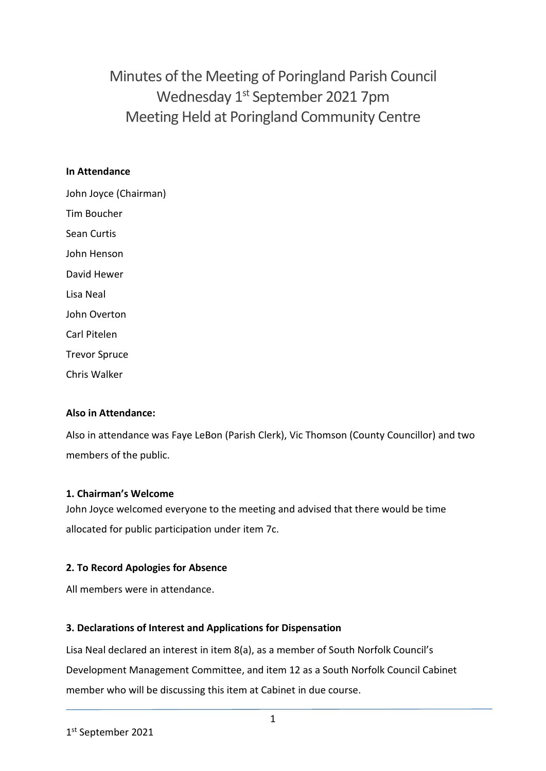Minutes of the Meeting of Poringland Parish Council Wednesday 1<sup>st</sup> September 2021 7pm Meeting Held at Poringland Community Centre

## **In Attendance**

John Joyce (Chairman) Tim Boucher Sean Curtis John Henson David Hewer Lisa Neal John Overton Carl Pitelen Trevor Spruce Chris Walker

# **Also in Attendance:**

Also in attendance was Faye LeBon (Parish Clerk), Vic Thomson (County Councillor) and two members of the public.

### **1. Chairman's Welcome**

John Joyce welcomed everyone to the meeting and advised that there would be time allocated for public participation under item 7c.

# **2. To Record Apologies for Absence**

All members were in attendance.

# **3. Declarations of Interest and Applications for Dispensation**

Lisa Neal declared an interest in item 8(a), as a member of South Norfolk Council's Development Management Committee, and item 12 as a South Norfolk Council Cabinet member who will be discussing this item at Cabinet in due course.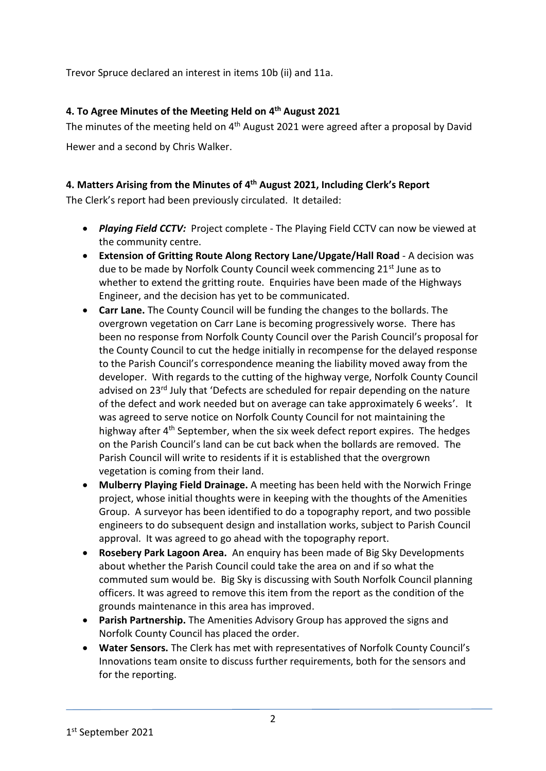Trevor Spruce declared an interest in items 10b (ii) and 11a.

# **4. To Agree Minutes of the Meeting Held on 4 th August 2021**

The minutes of the meeting held on 4<sup>th</sup> August 2021 were agreed after a proposal by David Hewer and a second by Chris Walker.

# **4. Matters Arising from the Minutes of 4 th August 2021, Including Clerk's Report**

The Clerk's report had been previously circulated. It detailed:

- *Playing Field CCTV:* Project complete The Playing Field CCTV can now be viewed at the community centre.
- **Extension of Gritting Route Along Rectory Lane/Upgate/Hall Road** A decision was due to be made by Norfolk County Council week commencing 21<sup>st</sup> June as to whether to extend the gritting route. Enquiries have been made of the Highways Engineer, and the decision has yet to be communicated.
- **Carr Lane.** The County Council will be funding the changes to the bollards. The overgrown vegetation on Carr Lane is becoming progressively worse. There has been no response from Norfolk County Council over the Parish Council's proposal for the County Council to cut the hedge initially in recompense for the delayed response to the Parish Council's correspondence meaning the liability moved away from the developer. With regards to the cutting of the highway verge, Norfolk County Council advised on 23<sup>rd</sup> July that 'Defects are scheduled for repair depending on the nature of the defect and work needed but on average can take approximately 6 weeks'. It was agreed to serve notice on Norfolk County Council for not maintaining the highway after 4<sup>th</sup> September, when the six week defect report expires. The hedges on the Parish Council's land can be cut back when the bollards are removed. The Parish Council will write to residents if it is established that the overgrown vegetation is coming from their land.
- **Mulberry Playing Field Drainage.** A meeting has been held with the Norwich Fringe project, whose initial thoughts were in keeping with the thoughts of the Amenities Group. A surveyor has been identified to do a topography report, and two possible engineers to do subsequent design and installation works, subject to Parish Council approval. It was agreed to go ahead with the topography report.
- **Rosebery Park Lagoon Area.** An enquiry has been made of Big Sky Developments about whether the Parish Council could take the area on and if so what the commuted sum would be. Big Sky is discussing with South Norfolk Council planning officers. It was agreed to remove this item from the report as the condition of the grounds maintenance in this area has improved.
- **Parish Partnership.** The Amenities Advisory Group has approved the signs and Norfolk County Council has placed the order.
- **Water Sensors.** The Clerk has met with representatives of Norfolk County Council's Innovations team onsite to discuss further requirements, both for the sensors and for the reporting.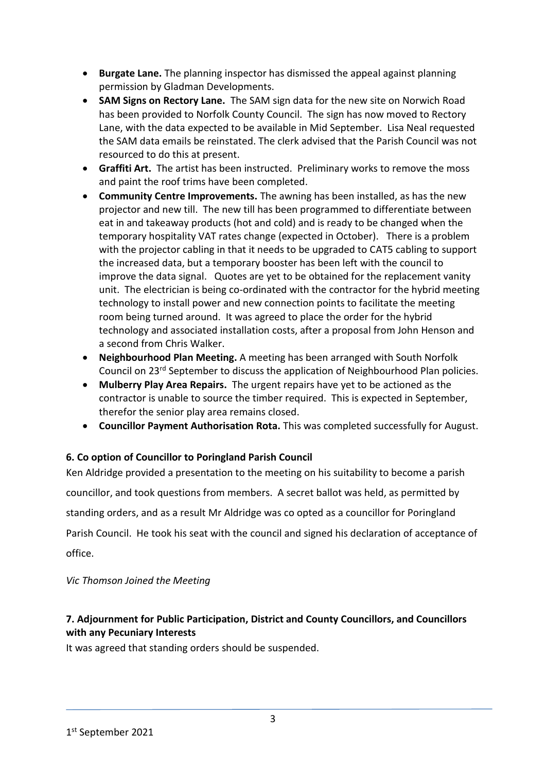- **Burgate Lane.** The planning inspector has dismissed the appeal against planning permission by Gladman Developments.
- **SAM Signs on Rectory Lane.** The SAM sign data for the new site on Norwich Road has been provided to Norfolk County Council. The sign has now moved to Rectory Lane, with the data expected to be available in Mid September. Lisa Neal requested the SAM data emails be reinstated. The clerk advised that the Parish Council was not resourced to do this at present.
- **Graffiti Art.** The artist has been instructed. Preliminary works to remove the moss and paint the roof trims have been completed.
- **Community Centre Improvements.** The awning has been installed, as has the new projector and new till. The new till has been programmed to differentiate between eat in and takeaway products (hot and cold) and is ready to be changed when the temporary hospitality VAT rates change (expected in October).There is a problem with the projector cabling in that it needs to be upgraded to CAT5 cabling to support the increased data, but a temporary booster has been left with the council to improve the data signal. Quotes are yet to be obtained for the replacement vanity unit. The electrician is being co-ordinated with the contractor for the hybrid meeting technology to install power and new connection points to facilitate the meeting room being turned around. It was agreed to place the order for the hybrid technology and associated installation costs, after a proposal from John Henson and a second from Chris Walker.
- **Neighbourhood Plan Meeting.** A meeting has been arranged with South Norfolk Council on 23rd September to discuss the application of Neighbourhood Plan policies.
- **Mulberry Play Area Repairs.** The urgent repairs have yet to be actioned as the contractor is unable to source the timber required. This is expected in September, therefor the senior play area remains closed.
- **Councillor Payment Authorisation Rota.** This was completed successfully for August.

# **6. Co option of Councillor to Poringland Parish Council**

Ken Aldridge provided a presentation to the meeting on his suitability to become a parish councillor, and took questions from members. A secret ballot was held, as permitted by standing orders, and as a result Mr Aldridge was co opted as a councillor for Poringland Parish Council. He took his seat with the council and signed his declaration of acceptance of office.

*Vic Thomson Joined the Meeting*

# **7. Adjournment for Public Participation, District and County Councillors, and Councillors with any Pecuniary Interests**

It was agreed that standing orders should be suspended.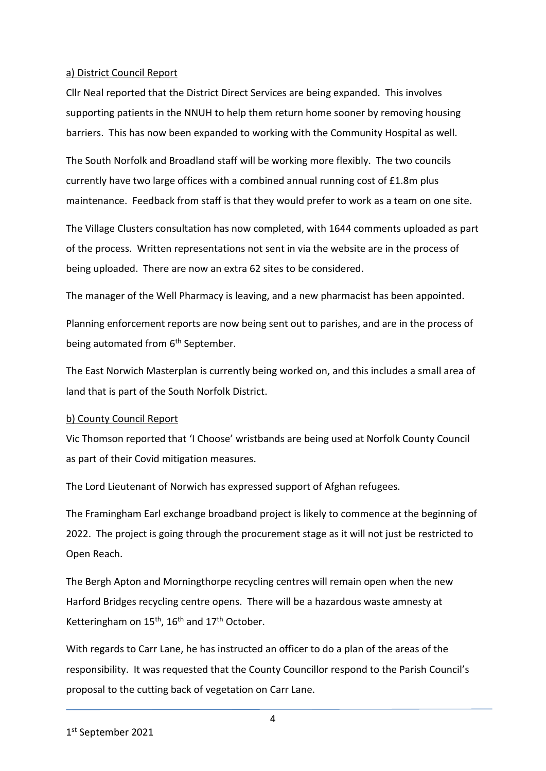### a) District Council Report

Cllr Neal reported that the District Direct Services are being expanded. This involves supporting patients in the NNUH to help them return home sooner by removing housing barriers. This has now been expanded to working with the Community Hospital as well.

The South Norfolk and Broadland staff will be working more flexibly. The two councils currently have two large offices with a combined annual running cost of £1.8m plus maintenance. Feedback from staff is that they would prefer to work as a team on one site.

The Village Clusters consultation has now completed, with 1644 comments uploaded as part of the process. Written representations not sent in via the website are in the process of being uploaded. There are now an extra 62 sites to be considered.

The manager of the Well Pharmacy is leaving, and a new pharmacist has been appointed.

Planning enforcement reports are now being sent out to parishes, and are in the process of being automated from 6<sup>th</sup> September.

The East Norwich Masterplan is currently being worked on, and this includes a small area of land that is part of the South Norfolk District.

# b) County Council Report

Vic Thomson reported that 'I Choose' wristbands are being used at Norfolk County Council as part of their Covid mitigation measures.

The Lord Lieutenant of Norwich has expressed support of Afghan refugees.

The Framingham Earl exchange broadband project is likely to commence at the beginning of 2022. The project is going through the procurement stage as it will not just be restricted to Open Reach.

The Bergh Apton and Morningthorpe recycling centres will remain open when the new Harford Bridges recycling centre opens. There will be a hazardous waste amnesty at Ketteringham on  $15^{th}$ ,  $16^{th}$  and  $17^{th}$  October.

With regards to Carr Lane, he has instructed an officer to do a plan of the areas of the responsibility. It was requested that the County Councillor respond to the Parish Council's proposal to the cutting back of vegetation on Carr Lane.

4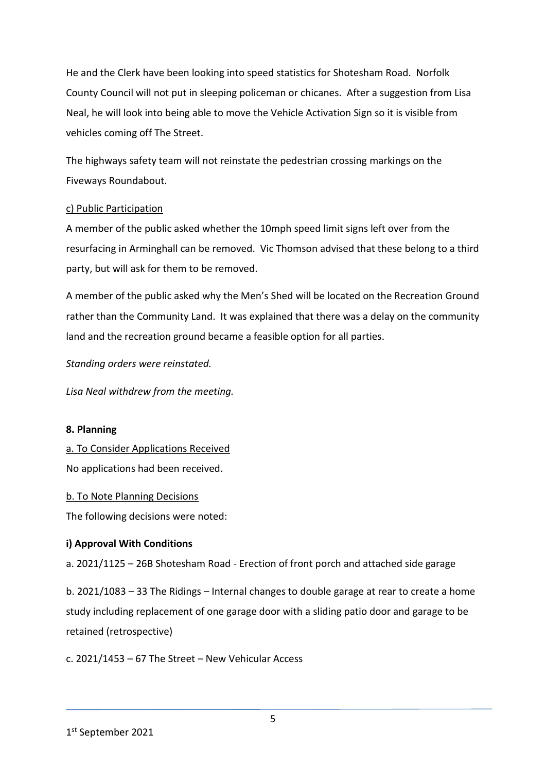He and the Clerk have been looking into speed statistics for Shotesham Road. Norfolk County Council will not put in sleeping policeman or chicanes. After a suggestion from Lisa Neal, he will look into being able to move the Vehicle Activation Sign so it is visible from vehicles coming off The Street.

The highways safety team will not reinstate the pedestrian crossing markings on the Fiveways Roundabout.

# c) Public Participation

A member of the public asked whether the 10mph speed limit signs left over from the resurfacing in Arminghall can be removed. Vic Thomson advised that these belong to a third party, but will ask for them to be removed.

A member of the public asked why the Men's Shed will be located on the Recreation Ground rather than the Community Land. It was explained that there was a delay on the community land and the recreation ground became a feasible option for all parties.

*Standing orders were reinstated.* 

*Lisa Neal withdrew from the meeting.* 

### **8. Planning**

a. To Consider Applications Received

No applications had been received.

### b. To Note Planning Decisions

The following decisions were noted:

# **i) Approval With Conditions**

a. 2021/1125 – 26B Shotesham Road - Erection of front porch and attached side garage

b. 2021/1083 – 33 The Ridings – Internal changes to double garage at rear to create a home study including replacement of one garage door with a sliding patio door and garage to be retained (retrospective)

c. 2021/1453 – 67 The Street – New Vehicular Access

<sup>1</sup> st September 2021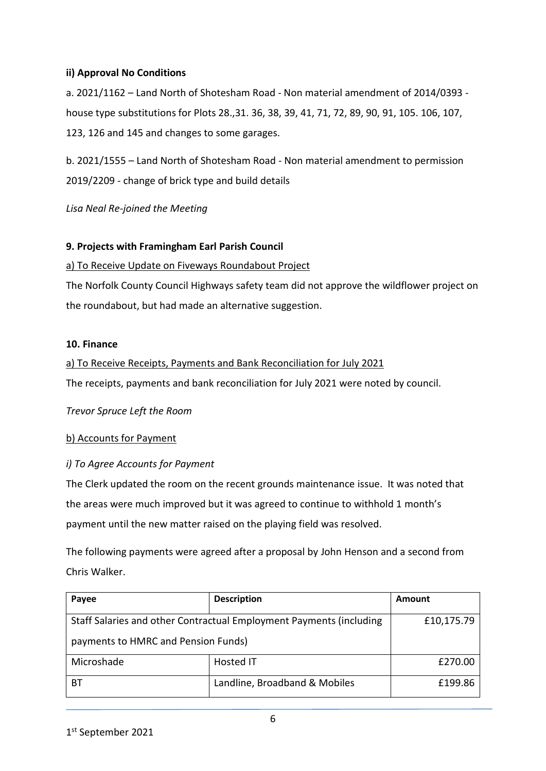# **ii) Approval No Conditions**

a. 2021/1162 – Land North of Shotesham Road - Non material amendment of 2014/0393 house type substitutions for Plots 28.,31. 36, 38, 39, 41, 71, 72, 89, 90, 91, 105. 106, 107, 123, 126 and 145 and changes to some garages.

b. 2021/1555 – Land North of Shotesham Road - Non material amendment to permission 2019/2209 - change of brick type and build details

*Lisa Neal Re-joined the Meeting*

# **9. Projects with Framingham Earl Parish Council**

### a) To Receive Update on Fiveways Roundabout Project

The Norfolk County Council Highways safety team did not approve the wildflower project on the roundabout, but had made an alternative suggestion.

### **10. Finance**

# a) To Receive Receipts, Payments and Bank Reconciliation for July 2021 The receipts, payments and bank reconciliation for July 2021 were noted by council.

*Trevor Spruce Left the Room*

### b) Accounts for Payment

# *i) To Agree Accounts for Payment*

The Clerk updated the room on the recent grounds maintenance issue. It was noted that the areas were much improved but it was agreed to continue to withhold 1 month's payment until the new matter raised on the playing field was resolved.

The following payments were agreed after a proposal by John Henson and a second from Chris Walker.

| Payee                                                               | <b>Description</b>            | Amount     |
|---------------------------------------------------------------------|-------------------------------|------------|
| Staff Salaries and other Contractual Employment Payments (including |                               | £10,175.79 |
| payments to HMRC and Pension Funds)                                 |                               |            |
| Microshade                                                          | Hosted IT                     | £270.00    |
| BТ                                                                  | Landline, Broadband & Mobiles | £199.86    |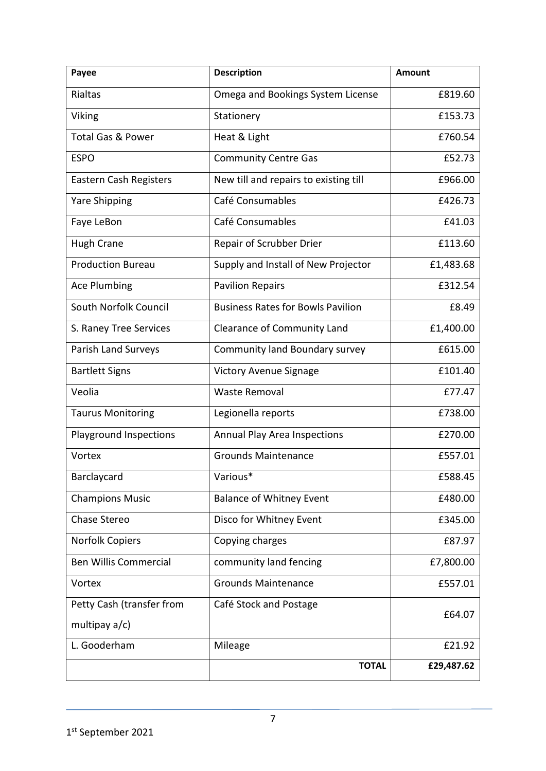| Payee                        | <b>Description</b>                       | <b>Amount</b> |
|------------------------------|------------------------------------------|---------------|
| <b>Rialtas</b>               | Omega and Bookings System License        | £819.60       |
| Viking                       | Stationery                               | £153.73       |
| <b>Total Gas &amp; Power</b> | Heat & Light                             | £760.54       |
| <b>ESPO</b>                  | <b>Community Centre Gas</b>              | £52.73        |
| Eastern Cash Registers       | New till and repairs to existing till    | £966.00       |
| <b>Yare Shipping</b>         | Café Consumables                         | £426.73       |
| Faye LeBon                   | Café Consumables                         | £41.03        |
| <b>Hugh Crane</b>            | Repair of Scrubber Drier                 | £113.60       |
| <b>Production Bureau</b>     | Supply and Install of New Projector      | £1,483.68     |
| Ace Plumbing                 | <b>Pavilion Repairs</b>                  | £312.54       |
| South Norfolk Council        | <b>Business Rates for Bowls Pavilion</b> | £8.49         |
| S. Raney Tree Services       | <b>Clearance of Community Land</b>       | £1,400.00     |
| Parish Land Surveys          | Community land Boundary survey           | £615.00       |
| <b>Bartlett Signs</b>        | <b>Victory Avenue Signage</b>            | £101.40       |
| Veolia                       | <b>Waste Removal</b>                     | £77.47        |
| <b>Taurus Monitoring</b>     | Legionella reports                       | £738.00       |
| Playground Inspections       | Annual Play Area Inspections             | £270.00       |
| Vortex                       | <b>Grounds Maintenance</b>               | £557.01       |
| Barclaycard                  | Various*                                 | £588.45       |
| <b>Champions Music</b>       | <b>Balance of Whitney Event</b>          | £480.00       |
| <b>Chase Stereo</b>          | Disco for Whitney Event                  | £345.00       |
| Norfolk Copiers              | Copying charges                          | £87.97        |
| <b>Ben Willis Commercial</b> | community land fencing                   | £7,800.00     |
| Vortex                       | <b>Grounds Maintenance</b>               | £557.01       |
| Petty Cash (transfer from    | Café Stock and Postage                   | £64.07        |
| multipay a/c)                |                                          |               |
| L. Gooderham                 | Mileage                                  | £21.92        |
|                              | <b>TOTAL</b>                             | £29,487.62    |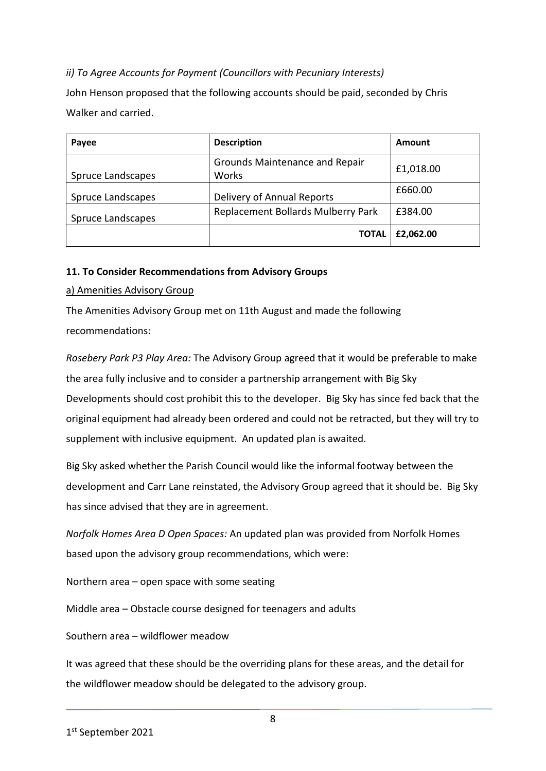# *ii) To Agree Accounts for Payment (Councillors with Pecuniary Interests)*

John Henson proposed that the following accounts should be paid, seconded by Chris Walker and carried.

| Payee             | <b>Description</b>                      | Amount    |
|-------------------|-----------------------------------------|-----------|
| Spruce Landscapes | Grounds Maintenance and Repair<br>Works | £1,018.00 |
| Spruce Landscapes | Delivery of Annual Reports              | £660.00   |
| Spruce Landscapes | Replacement Bollards Mulberry Park      | £384.00   |
|                   | TOTAL                                   | £2,062.00 |

# **11. To Consider Recommendations from Advisory Groups**

# a) Amenities Advisory Group

The Amenities Advisory Group met on 11th August and made the following recommendations:

*Rosebery Park P3 Play Area:* The Advisory Group agreed that it would be preferable to make the area fully inclusive and to consider a partnership arrangement with Big Sky Developments should cost prohibit this to the developer. Big Sky has since fed back that the original equipment had already been ordered and could not be retracted, but they will try to supplement with inclusive equipment. An updated plan is awaited.

Big Sky asked whether the Parish Council would like the informal footway between the development and Carr Lane reinstated, the Advisory Group agreed that it should be. Big Sky has since advised that they are in agreement.

*Norfolk Homes Area D Open Spaces:* An updated plan was provided from Norfolk Homes based upon the advisory group recommendations, which were:

Northern area – open space with some seating

Middle area – Obstacle course designed for teenagers and adults

Southern area – wildflower meadow

It was agreed that these should be the overriding plans for these areas, and the detail for the wildflower meadow should be delegated to the advisory group.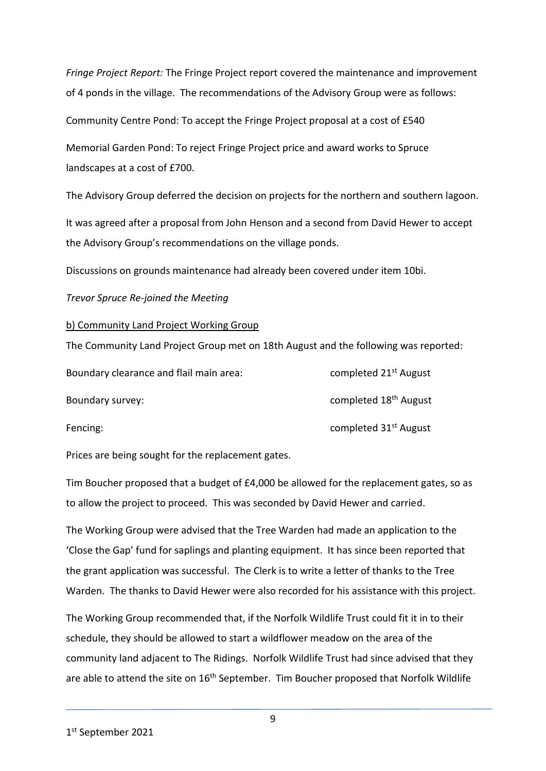*Fringe Project Report:* The Fringe Project report covered the maintenance and improvement of 4 ponds in the village. The recommendations of the Advisory Group were as follows:

Community Centre Pond: To accept the Fringe Project proposal at a cost of £540

Memorial Garden Pond: To reject Fringe Project price and award works to Spruce landscapes at a cost of £700.

The Advisory Group deferred the decision on projects for the northern and southern lagoon.

It was agreed after a proposal from John Henson and a second from David Hewer to accept the Advisory Group's recommendations on the village ponds.

Discussions on grounds maintenance had already been covered under item 10bi.

### *Trevor Spruce Re-joined the Meeting*

### b) Community Land Project Working Group

The Community Land Project Group met on 18th August and the following was reported:

| Boundary clearance and flail main area: | completed 21 <sup>st</sup> August |
|-----------------------------------------|-----------------------------------|
| Boundary survey:                        | completed 18 <sup>th</sup> August |
| Fencing:                                | completed 31 <sup>st</sup> August |

Prices are being sought for the replacement gates.

Tim Boucher proposed that a budget of £4,000 be allowed for the replacement gates, so as to allow the project to proceed. This was seconded by David Hewer and carried.

The Working Group were advised that the Tree Warden had made an application to the 'Close the Gap' fund for saplings and planting equipment. It has since been reported that the grant application was successful. The Clerk is to write a letter of thanks to the Tree Warden. The thanks to David Hewer were also recorded for his assistance with this project.

The Working Group recommended that, if the Norfolk Wildlife Trust could fit it in to their schedule, they should be allowed to start a wildflower meadow on the area of the community land adjacent to The Ridings. Norfolk Wildlife Trust had since advised that they are able to attend the site on 16<sup>th</sup> September. Tim Boucher proposed that Norfolk Wildlife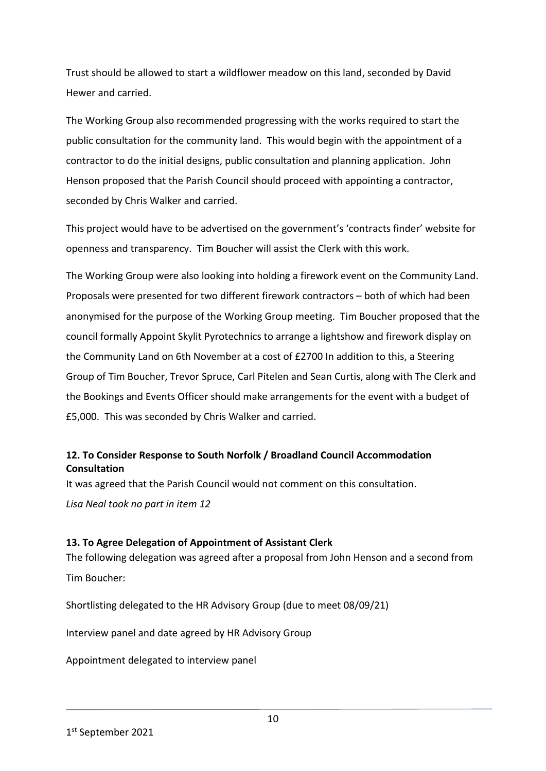Trust should be allowed to start a wildflower meadow on this land, seconded by David Hewer and carried.

The Working Group also recommended progressing with the works required to start the public consultation for the community land. This would begin with the appointment of a contractor to do the initial designs, public consultation and planning application. John Henson proposed that the Parish Council should proceed with appointing a contractor, seconded by Chris Walker and carried.

This project would have to be advertised on the government's 'contracts finder' website for openness and transparency. Tim Boucher will assist the Clerk with this work.

The Working Group were also looking into holding a firework event on the Community Land. Proposals were presented for two different firework contractors – both of which had been anonymised for the purpose of the Working Group meeting. Tim Boucher proposed that the council formally Appoint Skylit Pyrotechnics to arrange a lightshow and firework display on the Community Land on 6th November at a cost of £2700 In addition to this, a Steering Group of Tim Boucher, Trevor Spruce, Carl Pitelen and Sean Curtis, along with The Clerk and the Bookings and Events Officer should make arrangements for the event with a budget of £5,000. This was seconded by Chris Walker and carried.

# **12. To Consider Response to South Norfolk / Broadland Council Accommodation Consultation**

It was agreed that the Parish Council would not comment on this consultation.

*Lisa Neal took no part in item 12*

# **13. To Agree Delegation of Appointment of Assistant Clerk**

The following delegation was agreed after a proposal from John Henson and a second from Tim Boucher:

Shortlisting delegated to the HR Advisory Group (due to meet 08/09/21)

Interview panel and date agreed by HR Advisory Group

Appointment delegated to interview panel